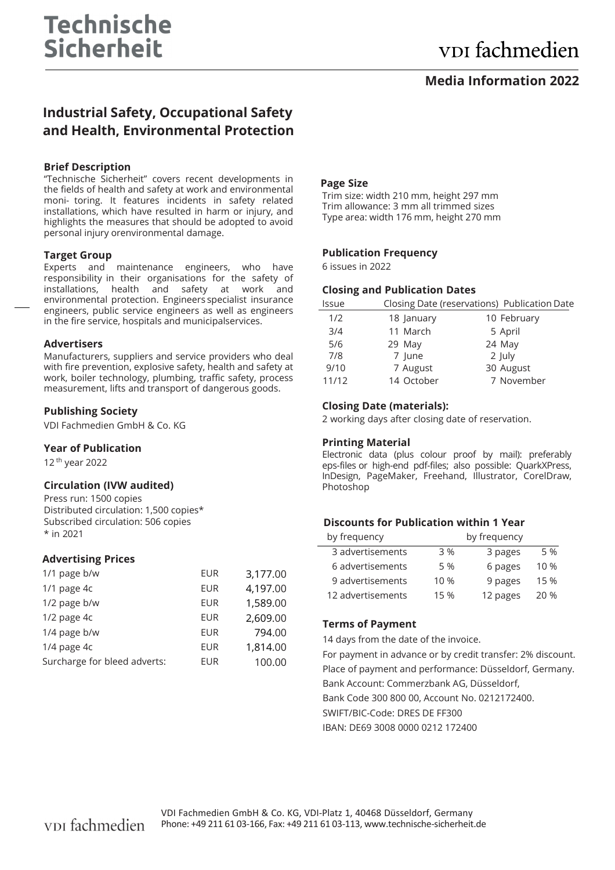# **Media Information 2022**

# **Industrial Safety, Occupational Safety and Health, Environmental Protection**

### **Brief Description**

"Technische Sicherheit" covers recent developments in the fields of health and safety at work and environmental moni- toring. It features incidents in safety related installations, which have resulted in harm or injury, and highlights the measures that should be adopted to avoid personal injury or environmental damage.

#### **Target Group**

Experts and maintenance engineers, who have responsibility in their organisations for the safety of installations, health and safety at work and environmental protection. Engineers specialist insurance engineers, public service engineers as well as engineers in the fire service, hospitals and municipalservices.

#### **Advertisers**

Manufacturers, suppliers and service providers who deal with fire prevention, explosive safety, health and safety at work, boiler technology, plumbing, traffic safety, process measurement, lifts and transport of dangerous goods.

# **Publishing Society**

VDI Fachmedien GmbH & Co. KG

#### **Year of Publication**

12 th year 2022

# **Circulation (IVW audited)**

Press run: 1500 copies Distributed circulation: 1,500 copies\* Subscribed circulation: 506 copies \* in 2021

# **Advertising Prices**

| 1/1 page b/w                 | <b>EUR</b> | 3,177.00 |
|------------------------------|------------|----------|
| $1/1$ page $4c$              | <b>EUR</b> | 4,197.00 |
| 1/2 page b/w                 | <b>EUR</b> | 1,589.00 |
| $1/2$ page $4c$              | <b>EUR</b> | 2,609.00 |
| 1/4 page b/w                 | <b>EUR</b> | 794.00   |
| 1/4 page 4c                  | <b>EUR</b> | 1,814.00 |
| Surcharge for bleed adverts: | <b>EUR</b> | 100.00   |

#### **Page Size**

Trim size: width 210 mm, height 297 mm Trim allowance: 3 mm all trimmed sizes Type area: width 176 mm, height 270 mm

#### **Publication Frequency**

6 issues in 2022

#### **Closing and Publication Dates**

| <b>Issue</b> |            | Closing Date (reservations) Publication Date |
|--------------|------------|----------------------------------------------|
| 1/2          | 18 January | 10 February                                  |
| 3/4          | 11 March   | 5 April                                      |
| 5/6          | 29 May     | 24 May                                       |
| 7/8          | 7 June     | 2 July                                       |
| 9/10         | 7 August   | 30 August                                    |
| 11/12        | 14 October | 7 November                                   |
|              |            |                                              |

# **Closing Date (materials):**

2 working days after closing date of reservation.

# **Printing Material**

Electronic data (plus colour proof by mail): preferably eps-files or high-end pdf-files; also possible: QuarkXPress, InDesign, PageMaker, Freehand, Illustrator, CorelDraw, Photoshop

# **Discounts for Publication within 1 Year**

| by frequency      | by frequency |          |        |
|-------------------|--------------|----------|--------|
| 3 advertisements  | 3 %          | 3 pages  | 5 %    |
| 6 advertisements  | 5 %          | 6 pages  | $10\%$ |
| 9 advertisements  | 10 %         | 9 pages  | 15 %   |
| 12 advertisements | 15 %         | 12 pages | 20 %   |

# **Terms of Payment**

14 days from the date of the invoice.

For payment in advance or by credit transfer: 2% discount. Place of payment and performance: Düsseldorf, Germany. Bank Account: Commerzbank AG, Düsseldorf, Bank Code 300 800 00, Account No. 0212172400. SWIFT/BIC-Code: DRES DE FF300

IBAN: DE69 3008 0000 0212 172400